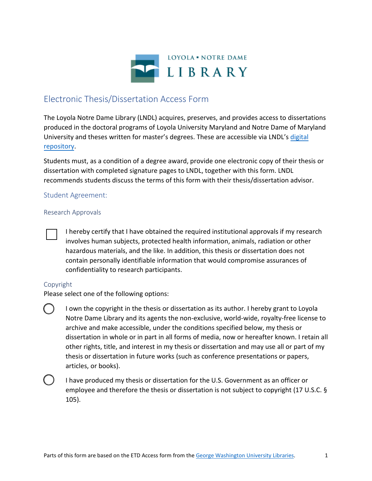

# Electronic Thesis/Dissertation Access Form

The Loyola Notre Dame Library (LNDL) acquires, preserves, and provides access to dissertations produced in the doctoral programs of Loyola University Maryland and Notre Dame of Maryland University and theses written for master's degrees. These are accessible via LNDL's digital [repository.](https://loyola.access.preservica.com/)

Students must, as a condition of a degree award, provide one electronic copy of their thesis or dissertation with completed signature pages to LNDL, together with this form. LNDL recommends students discuss the terms of this form with their thesis/dissertation advisor.

# Student Agreement:

### Research Approvals

I hereby certify that I have obtained the required institutional approvals if my research involves human subjects, protected health information, animals, radiation or other hazardous materials, and the like. In addition, this thesis or dissertation does not contain personally identifiable information that would compromise assurances of confidentiality to research participants.

# Copyright

Please select one of the following options:

I own the copyright in the thesis or dissertation as its author. I hereby grant to Loyola Notre Dame Library and its agents the non-exclusive, world-wide, royalty-free license to archive and make accessible, under the conditions specified below, my thesis or dissertation in whole or in part in all forms of media, now or hereafter known. I retain all other rights, title, and interest in my thesis or dissertation and may use all or part of my thesis or dissertation in future works (such as conference presentations or papers, articles, or books).



I have produced my thesis or dissertation for the U.S. Government as an officer or employee and therefore the thesis or dissertation is not subject to copyright (17 U.S.C. § 105).